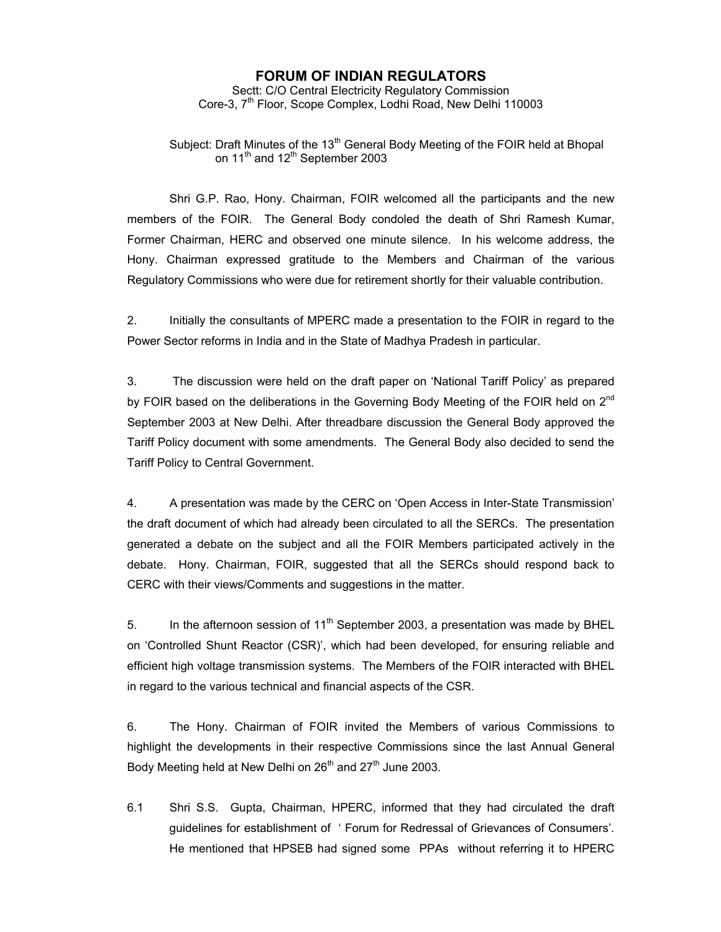## **FORUM OF INDIAN REGULATORS**

Sectt: C/O Central Electricity Regulatory Commission Core-3, 7<sup>th</sup> Floor, Scope Complex, Lodhi Road, New Delhi 110003

Subject: Draft Minutes of the  $13<sup>th</sup>$  General Body Meeting of the FOIR held at Bhopal on  $11<sup>th</sup>$  and  $12<sup>th</sup>$  September 2003

 Shri G.P. Rao, Hony. Chairman, FOIR welcomed all the participants and the new members of the FOIR. The General Body condoled the death of Shri Ramesh Kumar, Former Chairman, HERC and observed one minute silence. In his welcome address, the Hony. Chairman expressed gratitude to the Members and Chairman of the various Regulatory Commissions who were due for retirement shortly for their valuable contribution.

2. Initially the consultants of MPERC made a presentation to the FOIR in regard to the Power Sector reforms in India and in the State of Madhya Pradesh in particular.

3. The discussion were held on the draft paper on 'National Tariff Policy' as prepared by FOIR based on the deliberations in the Governing Body Meeting of the FOIR held on  $2^{nd}$ September 2003 at New Delhi. After threadbare discussion the General Body approved the Tariff Policy document with some amendments. The General Body also decided to send the Tariff Policy to Central Government.

4. A presentation was made by the CERC on 'Open Access in Inter-State Transmission' the draft document of which had already been circulated to all the SERCs. The presentation generated a debate on the subject and all the FOIR Members participated actively in the debate. Hony. Chairman, FOIR, suggested that all the SERCs should respond back to CERC with their views/Comments and suggestions in the matter.

5. In the afternoon session of  $11<sup>th</sup>$  September 2003, a presentation was made by BHEL on 'Controlled Shunt Reactor (CSR)', which had been developed, for ensuring reliable and efficient high voltage transmission systems. The Members of the FOIR interacted with BHEL in regard to the various technical and financial aspects of the CSR.

6. The Hony. Chairman of FOIR invited the Members of various Commissions to highlight the developments in their respective Commissions since the last Annual General Body Meeting held at New Delhi on  $26<sup>th</sup>$  and  $27<sup>th</sup>$  June 2003.

6.1 Shri S.S. Gupta, Chairman, HPERC, informed that they had circulated the draft guidelines for establishment of ' Forum for Redressal of Grievances of Consumers'. He mentioned that HPSEB had signed some PPAs without referring it to HPERC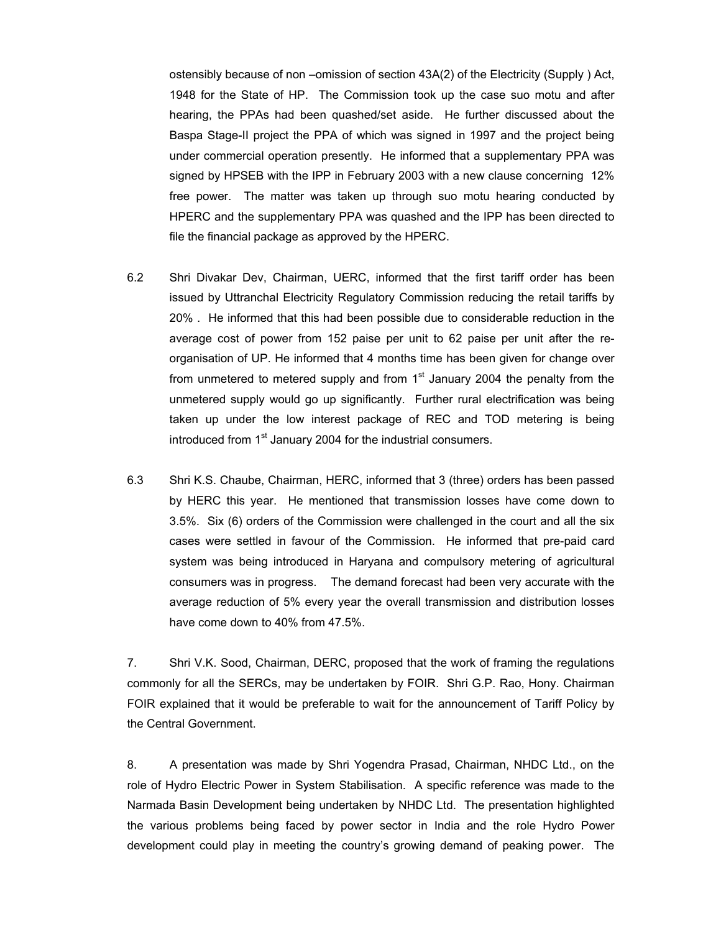ostensibly because of non –omission of section 43A(2) of the Electricity (Supply ) Act, 1948 for the State of HP. The Commission took up the case suo motu and after hearing, the PPAs had been quashed/set aside. He further discussed about the Baspa Stage-II project the PPA of which was signed in 1997 and the project being under commercial operation presently. He informed that a supplementary PPA was signed by HPSEB with the IPP in February 2003 with a new clause concerning 12% free power. The matter was taken up through suo motu hearing conducted by HPERC and the supplementary PPA was quashed and the IPP has been directed to file the financial package as approved by the HPERC.

- 6.2 Shri Divakar Dev, Chairman, UERC, informed that the first tariff order has been issued by Uttranchal Electricity Regulatory Commission reducing the retail tariffs by 20% . He informed that this had been possible due to considerable reduction in the average cost of power from 152 paise per unit to 62 paise per unit after the reorganisation of UP. He informed that 4 months time has been given for change over from unmetered to metered supply and from  $1<sup>st</sup>$  January 2004 the penalty from the unmetered supply would go up significantly. Further rural electrification was being taken up under the low interest package of REC and TOD metering is being introduced from 1<sup>st</sup> January 2004 for the industrial consumers.
- 6.3 Shri K.S. Chaube, Chairman, HERC, informed that 3 (three) orders has been passed by HERC this year. He mentioned that transmission losses have come down to 3.5%. Six (6) orders of the Commission were challenged in the court and all the six cases were settled in favour of the Commission. He informed that pre-paid card system was being introduced in Haryana and compulsory metering of agricultural consumers was in progress. The demand forecast had been very accurate with the average reduction of 5% every year the overall transmission and distribution losses have come down to 40% from 47.5%.

7. Shri V.K. Sood, Chairman, DERC, proposed that the work of framing the regulations commonly for all the SERCs, may be undertaken by FOIR. Shri G.P. Rao, Hony. Chairman FOIR explained that it would be preferable to wait for the announcement of Tariff Policy by the Central Government.

8. A presentation was made by Shri Yogendra Prasad, Chairman, NHDC Ltd., on the role of Hydro Electric Power in System Stabilisation. A specific reference was made to the Narmada Basin Development being undertaken by NHDC Ltd. The presentation highlighted the various problems being faced by power sector in India and the role Hydro Power development could play in meeting the country's growing demand of peaking power. The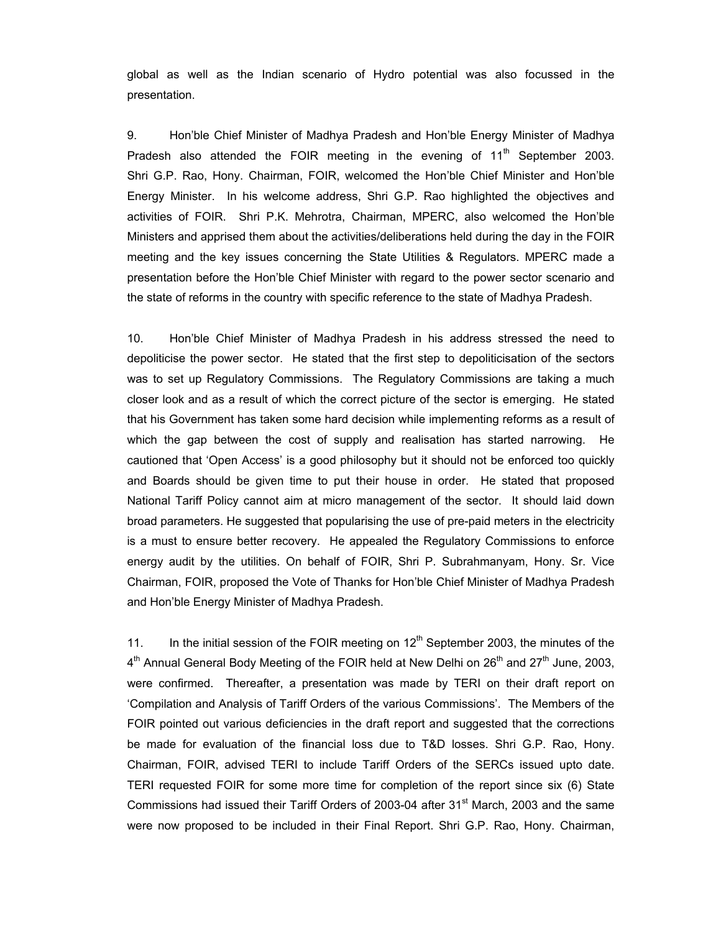global as well as the Indian scenario of Hydro potential was also focussed in the presentation.

9. Hon'ble Chief Minister of Madhya Pradesh and Hon'ble Energy Minister of Madhya Pradesh also attended the FOIR meeting in the evening of  $11<sup>th</sup>$  September 2003. Shri G.P. Rao, Hony. Chairman, FOIR, welcomed the Hon'ble Chief Minister and Hon'ble Energy Minister. In his welcome address, Shri G.P. Rao highlighted the objectives and activities of FOIR. Shri P.K. Mehrotra, Chairman, MPERC, also welcomed the Hon'ble Ministers and apprised them about the activities/deliberations held during the day in the FOIR meeting and the key issues concerning the State Utilities & Regulators. MPERC made a presentation before the Hon'ble Chief Minister with regard to the power sector scenario and the state of reforms in the country with specific reference to the state of Madhya Pradesh.

10. Hon'ble Chief Minister of Madhya Pradesh in his address stressed the need to depoliticise the power sector. He stated that the first step to depoliticisation of the sectors was to set up Regulatory Commissions. The Regulatory Commissions are taking a much closer look and as a result of which the correct picture of the sector is emerging. He stated that his Government has taken some hard decision while implementing reforms as a result of which the gap between the cost of supply and realisation has started narrowing. He cautioned that 'Open Access' is a good philosophy but it should not be enforced too quickly and Boards should be given time to put their house in order. He stated that proposed National Tariff Policy cannot aim at micro management of the sector. It should laid down broad parameters. He suggested that popularising the use of pre-paid meters in the electricity is a must to ensure better recovery. He appealed the Regulatory Commissions to enforce energy audit by the utilities. On behalf of FOIR, Shri P. Subrahmanyam, Hony. Sr. Vice Chairman, FOIR, proposed the Vote of Thanks for Hon'ble Chief Minister of Madhya Pradesh and Hon'ble Energy Minister of Madhya Pradesh.

11. In the initial session of the FOIR meeting on  $12<sup>th</sup>$  September 2003, the minutes of the  $4<sup>th</sup>$  Annual General Body Meeting of the FOIR held at New Delhi on 26<sup>th</sup> and 27<sup>th</sup> June, 2003, were confirmed. Thereafter, a presentation was made by TERI on their draft report on 'Compilation and Analysis of Tariff Orders of the various Commissions'. The Members of the FOIR pointed out various deficiencies in the draft report and suggested that the corrections be made for evaluation of the financial loss due to T&D losses. Shri G.P. Rao, Hony. Chairman, FOIR, advised TERI to include Tariff Orders of the SERCs issued upto date. TERI requested FOIR for some more time for completion of the report since six (6) State Commissions had issued their Tariff Orders of 2003-04 after  $31<sup>st</sup>$  March, 2003 and the same were now proposed to be included in their Final Report. Shri G.P. Rao, Hony. Chairman,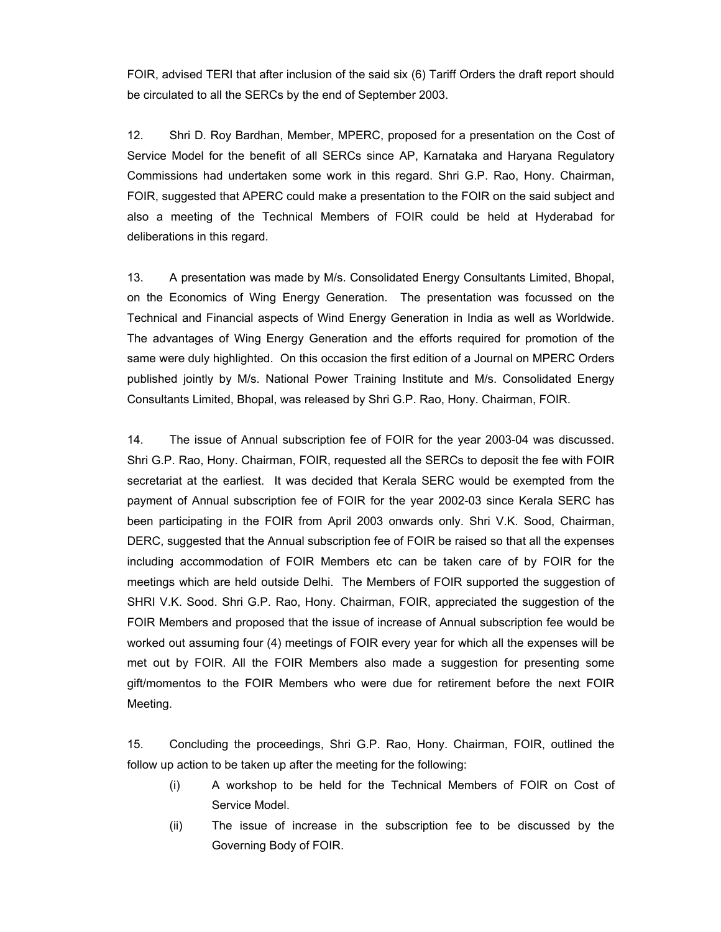FOIR, advised TERI that after inclusion of the said six (6) Tariff Orders the draft report should be circulated to all the SERCs by the end of September 2003.

12. Shri D. Roy Bardhan, Member, MPERC, proposed for a presentation on the Cost of Service Model for the benefit of all SERCs since AP, Karnataka and Haryana Regulatory Commissions had undertaken some work in this regard. Shri G.P. Rao, Hony. Chairman, FOIR, suggested that APERC could make a presentation to the FOIR on the said subject and also a meeting of the Technical Members of FOIR could be held at Hyderabad for deliberations in this regard.

13. A presentation was made by M/s. Consolidated Energy Consultants Limited, Bhopal, on the Economics of Wing Energy Generation. The presentation was focussed on the Technical and Financial aspects of Wind Energy Generation in India as well as Worldwide. The advantages of Wing Energy Generation and the efforts required for promotion of the same were duly highlighted. On this occasion the first edition of a Journal on MPERC Orders published jointly by M/s. National Power Training Institute and M/s. Consolidated Energy Consultants Limited, Bhopal, was released by Shri G.P. Rao, Hony. Chairman, FOIR.

14. The issue of Annual subscription fee of FOIR for the year 2003-04 was discussed. Shri G.P. Rao, Hony. Chairman, FOIR, requested all the SERCs to deposit the fee with FOIR secretariat at the earliest. It was decided that Kerala SERC would be exempted from the payment of Annual subscription fee of FOIR for the year 2002-03 since Kerala SERC has been participating in the FOIR from April 2003 onwards only. Shri V.K. Sood, Chairman, DERC, suggested that the Annual subscription fee of FOIR be raised so that all the expenses including accommodation of FOIR Members etc can be taken care of by FOIR for the meetings which are held outside Delhi. The Members of FOIR supported the suggestion of SHRI V.K. Sood. Shri G.P. Rao, Hony. Chairman, FOIR, appreciated the suggestion of the FOIR Members and proposed that the issue of increase of Annual subscription fee would be worked out assuming four (4) meetings of FOIR every year for which all the expenses will be met out by FOIR. All the FOIR Members also made a suggestion for presenting some gift/momentos to the FOIR Members who were due for retirement before the next FOIR Meeting.

15. Concluding the proceedings, Shri G.P. Rao, Hony. Chairman, FOIR, outlined the follow up action to be taken up after the meeting for the following:

- (i) A workshop to be held for the Technical Members of FOIR on Cost of Service Model.
- (ii) The issue of increase in the subscription fee to be discussed by the Governing Body of FOIR.